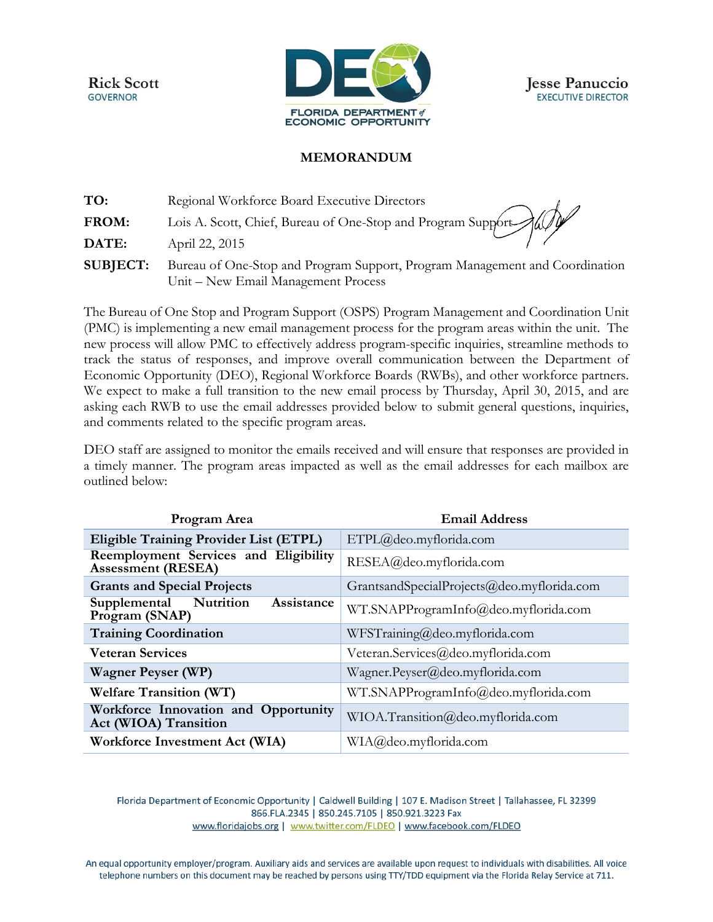**Rick Scott GOVERNOR** 



## **MEMORANDUM**

| TO:             | Regional Workforce Board Executive Directors                                                                       |
|-----------------|--------------------------------------------------------------------------------------------------------------------|
| FROM:           | Regional Workforce Board Executive Directors<br>Lois A. Scott, Chief, Bureau of One-Stop and Program Support       |
| DATE:           | April 22, 2015                                                                                                     |
| <b>SUBJECT:</b> | Bureau of One-Stop and Program Support, Program Management and Coordination<br>Unit – New Email Management Process |

The Bureau of One Stop and Program Support (OSPS) Program Management and Coordination Unit (PMC) is implementing a new email management process for the program areas within the unit. The new process will allow PMC to effectively address program-specific inquiries, streamline methods to track the status of responses, and improve overall communication between the Department of Economic Opportunity (DEO), Regional Workforce Boards (RWBs), and other workforce partners. We expect to make a full transition to the new email process by Thursday, April 30, 2015, and are asking each RWB to use the email addresses provided below to submit general questions, inquiries, and comments related to the specific program areas.

DEO staff are assigned to monitor the emails received and will ensure that responses are provided in a timely manner. The program areas impacted as well as the email addresses for each mailbox are outlined below:

| Program Area                                                       | <b>Email Address</b>                       |
|--------------------------------------------------------------------|--------------------------------------------|
| <b>Eligible Training Provider List (ETPL)</b>                      | ETPL@deo.myflorida.com                     |
| Reemployment Services and Eligibility<br><b>Assessment (RESEA)</b> | RESEA@deo.myflorida.com                    |
| <b>Grants and Special Projects</b>                                 | GrantsandSpecialProjects@deo.myflorida.com |
| Nutrition<br>Assistance<br>Supplemental<br>Program (SNAP)          | WT.SNAPProgramInfo@deo.myflorida.com       |
| <b>Training Coordination</b>                                       | WFSTraining@deo.myflorida.com              |
| <b>Veteran Services</b>                                            | Veteran.Services@deo.myflorida.com         |
| <b>Wagner Peyser (WP)</b>                                          | Wagner.Peyser@deo.myflorida.com            |
| <b>Welfare Transition (WT)</b>                                     | WT.SNAPProgramInfo@deo.myflorida.com       |
| Workforce Innovation and Opportunity<br>Act (WIOA) Transition      | WIOA.Transition@deo.myflorida.com          |
| Workforce Investment Act (WIA)                                     | WIA@deo.myflorida.com                      |

Florida Department of Economic Opportunity | Caldwell Building | 107 E. Madison Street | Tallahassee, FL 32399 866.FLA.2345 | 850.245.7105 | 850.921.3223 Fax www.floridajobs.org | www.twitter.com/FLDEO | www.facebook.com/FLDEO

An equal opportunity employer/program. Auxiliary aids and services are available upon request to individuals with disabilities. All voice telephone numbers on this document may be reached by persons using TTY/TDD equipment via the Florida Relay Service at 711.